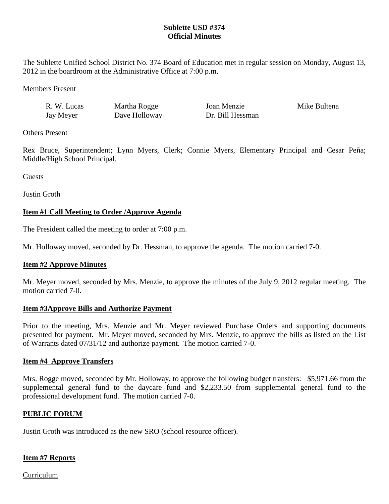## **Sublette USD #374 Official Minutes**

The Sublette Unified School District No. 374 Board of Education met in regular session on Monday, August 13, 2012 in the boardroom at the Administrative Office at 7:00 p.m.

Members Present

| R. W. Lucas | Martha Rogge  | Joan Menzie      | Mike Bultena |
|-------------|---------------|------------------|--------------|
| Jay Meyer   | Dave Holloway | Dr. Bill Hessman |              |

Others Present

Rex Bruce, Superintendent; Lynn Myers, Clerk; Connie Myers, Elementary Principal and Cesar Peña; Middle/High School Principal.

**Guests** 

Justin Groth

# **Item #1 Call Meeting to Order /Approve Agenda**

The President called the meeting to order at 7:00 p.m.

Mr. Holloway moved, seconded by Dr. Hessman, to approve the agenda. The motion carried 7-0.

## **Item #2 Approve Minutes**

Mr. Meyer moved, seconded by Mrs. Menzie, to approve the minutes of the July 9, 2012 regular meeting. The motion carried 7-0.

#### **Item #3Approve Bills and Authorize Payment**

Prior to the meeting, Mrs. Menzie and Mr. Meyer reviewed Purchase Orders and supporting documents presented for payment. Mr. Meyer moved, seconded by Mrs. Menzie, to approve the bills as listed on the List of Warrants dated 07/31/12 and authorize payment. The motion carried 7-0.

## **Item #4 Approve Transfers**

Mrs. Rogge moved, seconded by Mr. Holloway, to approve the following budget transfers: \$5,971.66 from the supplemental general fund to the daycare fund and \$2,233.50 from supplemental general fund to the professional development fund. The motion carried 7-0.

## **PUBLIC FORUM**

Justin Groth was introduced as the new SRO (school resource officer).

## **Item #7 Reports**

Curriculum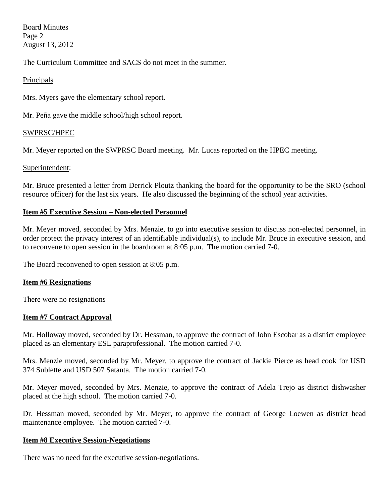Board Minutes Page 2 August 13, 2012

The Curriculum Committee and SACS do not meet in the summer.

### Principals

Mrs. Myers gave the elementary school report.

Mr. Peña gave the middle school/high school report.

#### SWPRSC/HPEC

Mr. Meyer reported on the SWPRSC Board meeting. Mr. Lucas reported on the HPEC meeting.

#### Superintendent:

Mr. Bruce presented a letter from Derrick Ploutz thanking the board for the opportunity to be the SRO (school resource officer) for the last six years. He also discussed the beginning of the school year activities.

### **Item #5 Executive Session – Non-elected Personnel**

Mr. Meyer moved, seconded by Mrs. Menzie, to go into executive session to discuss non-elected personnel, in order protect the privacy interest of an identifiable individual(s), to include Mr. Bruce in executive session, and to reconvene to open session in the boardroom at 8:05 p.m. The motion carried 7-0.

The Board reconvened to open session at 8:05 p.m.

#### **Item #6 Resignations**

There were no resignations

#### **Item #7 Contract Approval**

Mr. Holloway moved, seconded by Dr. Hessman, to approve the contract of John Escobar as a district employee placed as an elementary ESL paraprofessional. The motion carried 7-0.

Mrs. Menzie moved, seconded by Mr. Meyer, to approve the contract of Jackie Pierce as head cook for USD 374 Sublette and USD 507 Satanta. The motion carried 7-0.

Mr. Meyer moved, seconded by Mrs. Menzie, to approve the contract of Adela Trejo as district dishwasher placed at the high school. The motion carried 7-0.

Dr. Hessman moved, seconded by Mr. Meyer, to approve the contract of George Loewen as district head maintenance employee. The motion carried 7-0.

#### **Item #8 Executive Session-Negotiations**

There was no need for the executive session-negotiations.